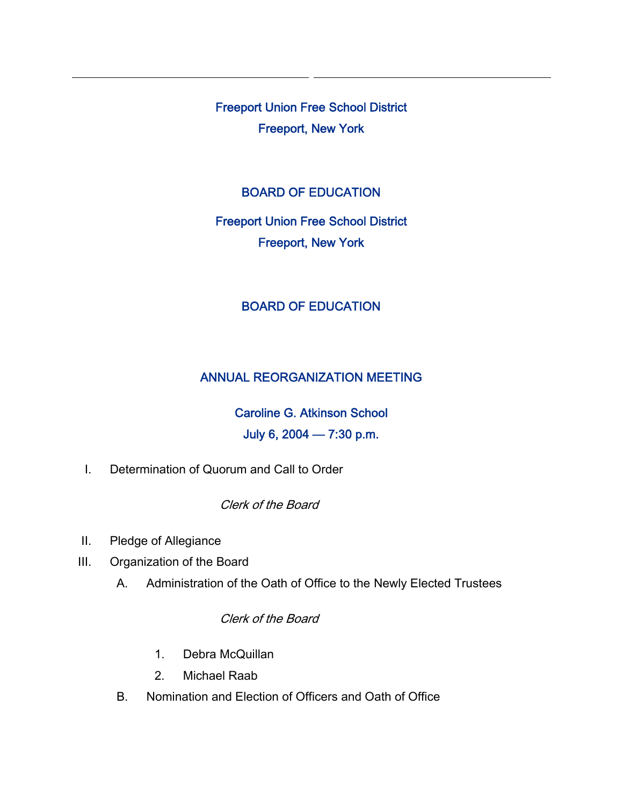Freeport Union Free School District Freeport, New York

### BOARD OF EDUCATION

# Freeport Union Free School District Freeport, New York

### BOARD OF EDUCATION

### ANNUAL REORGANIZATION MEETING

## Caroline G. Atkinson School July 6, 2004 — 7:30 p.m.

I. Determination of Quorum and Call to Order

Clerk of the Board

- II. Pledge of Allegiance
- III. Organization of the Board
	- A. Administration of the Oath of Office to the Newly Elected Trustees

Clerk of the Board

- 1. Debra McQuillan
- 2. Michael Raab
- B. Nomination and Election of Officers and Oath of Office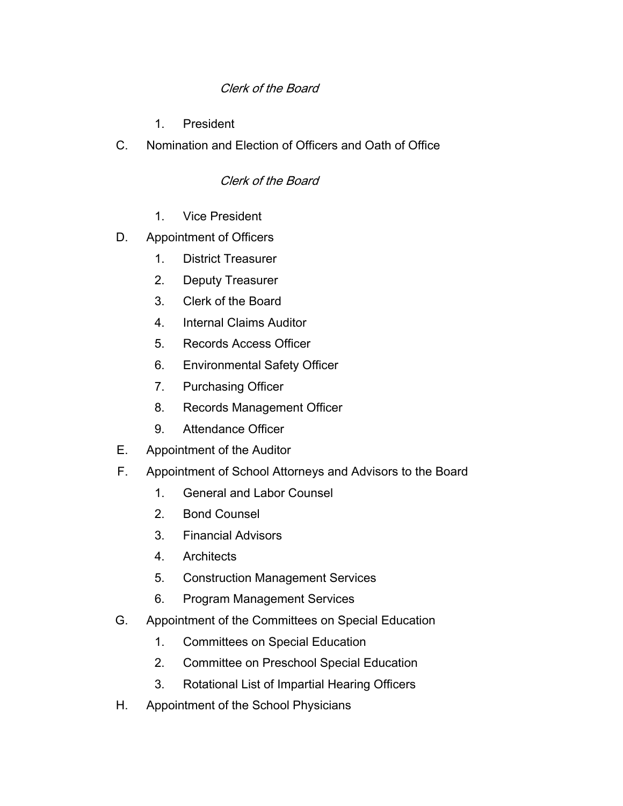### Clerk of the Board

- 1. President
- C. Nomination and Election of Officers and Oath of Office

### Clerk of the Board

- 1. Vice President
- D. Appointment of Officers
	- 1. District Treasurer
	- 2. Deputy Treasurer
	- 3. Clerk of the Board
	- 4. Internal Claims Auditor
	- 5. Records Access Officer
	- 6. Environmental Safety Officer
	- 7. Purchasing Officer
	- 8. Records Management Officer
	- 9. Attendance Officer
- E. Appointment of the Auditor
- F. Appointment of School Attorneys and Advisors to the Board
	- 1. General and Labor Counsel
	- 2. Bond Counsel
	- 3. Financial Advisors
	- 4. Architects
	- 5. Construction Management Services
	- 6. Program Management Services
- G. Appointment of the Committees on Special Education
	- 1. Committees on Special Education
	- 2. Committee on Preschool Special Education
	- 3. Rotational List of Impartial Hearing Officers
- H. Appointment of the School Physicians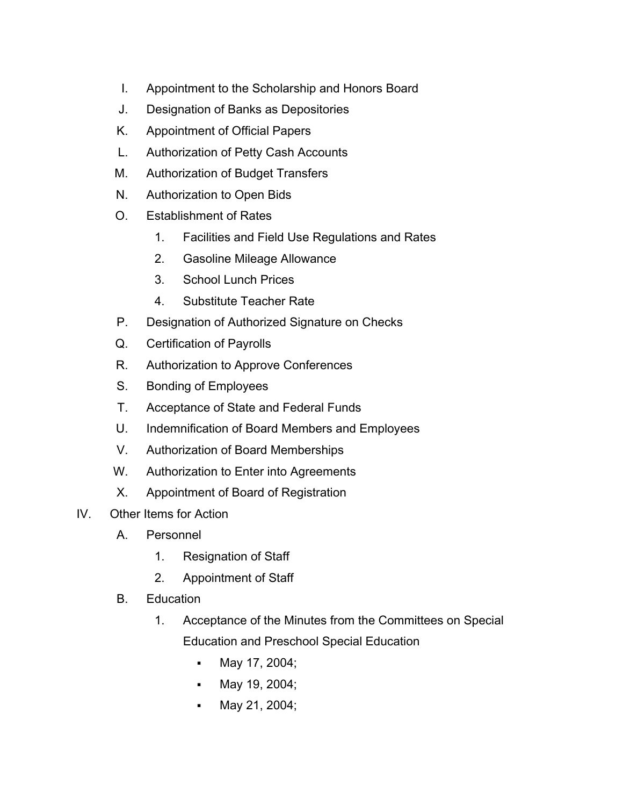- I. Appointment to the Scholarship and Honors Board
- J. Designation of Banks as Depositories
- K. Appointment of Official Papers
- L. Authorization of Petty Cash Accounts
- M. Authorization of Budget Transfers
- N. Authorization to Open Bids
- O. Establishment of Rates
	- 1. Facilities and Field Use Regulations and Rates
	- 2. Gasoline Mileage Allowance
	- 3. School Lunch Prices
	- 4. Substitute Teacher Rate
- P. Designation of Authorized Signature on Checks
- Q. Certification of Payrolls
- R. Authorization to Approve Conferences
- S. Bonding of Employees
- T. Acceptance of State and Federal Funds
- U. Indemnification of Board Members and Employees
- V. Authorization of Board Memberships
- W. Authorization to Enter into Agreements
- X. Appointment of Board of Registration
- IV. Other Items for Action
	- A. Personnel
		- 1. Resignation of Staff
		- 2. Appointment of Staff
	- B. Education
		- 1. Acceptance of the Minutes from the Committees on Special Education and Preschool Special Education
			- May 17, 2004;
			- **May 19, 2004;**
			- May 21, 2004;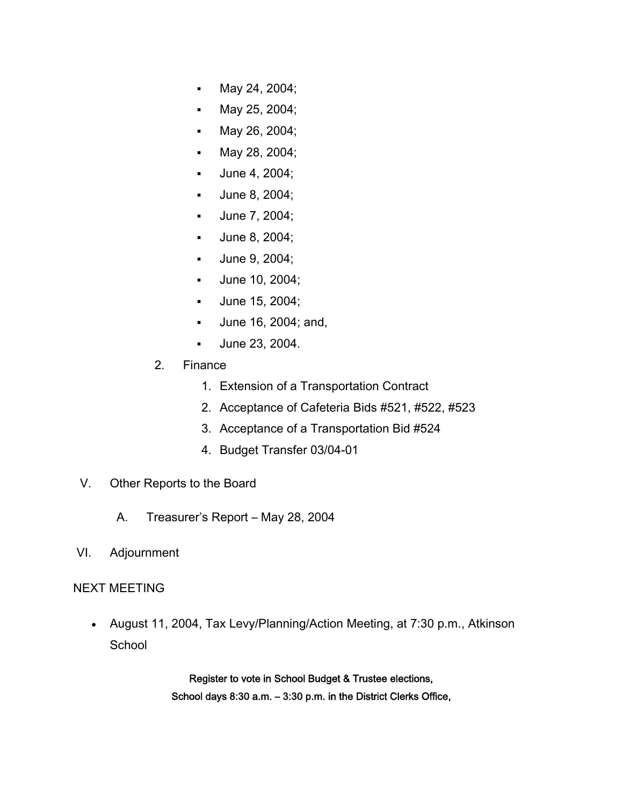- May 24, 2004;
- **May 25, 2004;**
- **May 26, 2004;**
- **May 28, 2004;**
- **June 4, 2004;**
- **June 8, 2004;**
- **June 7, 2004;**
- **June 8, 2004;**
- **June 9, 2004;**
- **June 10, 2004;**
- June 15, 2004;
- June 16, 2004; and,
- June 23, 2004.
- 2. Finance
	- 1. Extension of a Transportation Contract
	- 2. Acceptance of Cafeteria Bids #521, #522, #523
	- 3. Acceptance of a Transportation Bid #524
	- 4. Budget Transfer 03/04-01
- V. Other Reports to the Board
	- A. Treasurer's Report May 28, 2004
- VI. Adjournment

#### NEXT MEETING

• August 11, 2004, Tax Levy/Planning/Action Meeting, at 7:30 p.m., Atkinson **School** 

> Register to vote in School Budget & Trustee elections, School days 8:30 a.m. – 3:30 p.m. in the District Clerks Office,